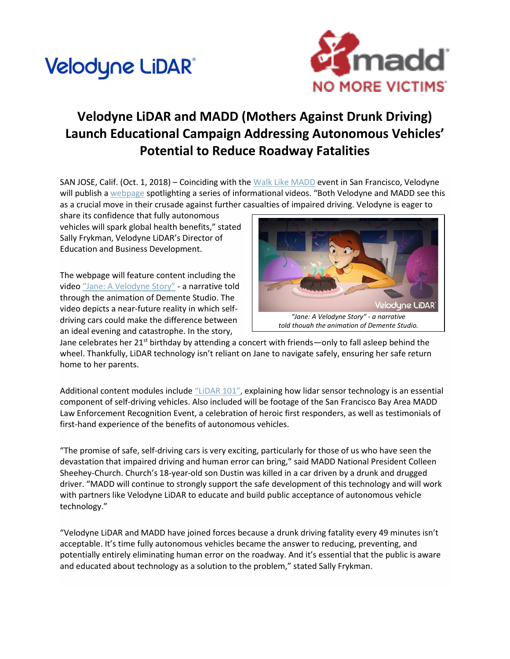## Velodyne LiDAR®



## **Velodyne LiDAR and MADD (Mothers Against Drunk Driving) Launch Educational Campaign Addressing Autonomous Vehicles' Potential to Reduce Roadway Fatalities**

SAN JOSE, Calif. (Oct. 1, 2018) – Coinciding with the [Walk Like MADD](http://cts.businesswire.com/ct/CT?id=smartlink&url=https%3A%2F%2Fwww.walklikemadd.org%2F&esheet=51875157&newsitemid=20181001005271&lan=en-US&anchor=Walk+Like+MADD&index=5&md5=96414912a2942d9966a13c8a6ff2ad1c) event in San Francisco, Velodyne will publish a [webpage](http://cts.businesswire.com/ct/CT?id=smartlink&url=https%3A%2F%2Fwww.velodynelidar.com%2Fmadd-partnership.html&esheet=51875157&newsitemid=20181001005271&lan=en-US&anchor=webpage&index=6&md5=934a2c7b377659c907dec85514bc8af5) spotlighting a series of informational videos. "Both Velodyne and MADD see this as a crucial move in their crusade against further casualties of impaired driving. Velodyne is eager to

share its confidence that fully autonomous vehicles will spark global health benefits," stated Sally Frykman, Velodyne LiDAR's Director of Education and Business Development.

The webpage will feature content including the video ["Jane: A Velodyne Story"](http://cts.businesswire.com/ct/CT?id=smartlink&url=https%3A%2F%2Fyoutu.be%2FOIqrNE8rCU8&esheet=51875157&newsitemid=20181001005271&lan=en-US&anchor=%E2%80%9CJane%3A+A+Velodyne+Story%E2%80%9D&index=7&md5=f6bc8f0d4f137f81bb9c73c792f580e4) - a narrative told through the animation of Demente Studio. The video depicts a near-future reality in which selfdriving cars could make the difference between an ideal evening and catastrophe. In the story,



Jane celebrates her  $21^{st}$  birthday by attending a concert with friends—only to fall asleep behind the wheel. Thankfully, LiDAR technology isn't reliant on Jane to navigate safely, ensuring her safe return home to her parents.

Additional content modules include ["LiDAR 101"](http://cts.businesswire.com/ct/CT?id=smartlink&url=https%3A%2F%2Fyoutu.be%2FNZKvf1cXe8s&esheet=51875157&newsitemid=20181001005271&lan=en-US&anchor=%E2%80%9CLiDAR+101%E2%80%9D&index=8&md5=cfb6325b2a57c11b8003e07d9a524b88), explaining how lidar sensor technology is an essential component of self-driving vehicles. Also included will be footage of the San Francisco Bay Area MADD Law Enforcement Recognition Event, a celebration of heroic first responders, as well as testimonials of first-hand experience of the benefits of autonomous vehicles.

"The promise of safe, self-driving cars is very exciting, particularly for those of us who have seen the devastation that impaired driving and human error can bring," said MADD National President Colleen Sheehey-Church. Church's 18-year-old son Dustin was killed in a car driven by a drunk and drugged driver. "MADD will continue to strongly support the safe development of this technology and will work with partners like Velodyne LiDAR to educate and build public acceptance of autonomous vehicle technology."

"Velodyne LiDAR and MADD have joined forces because a drunk driving fatality every 49 minutes isn't acceptable. It's time fully autonomous vehicles became the answer to reducing, preventing, and potentially entirely eliminating human error on the roadway. And it's essential that the public is aware and educated about technology as a solution to the problem," stated Sally Frykman.